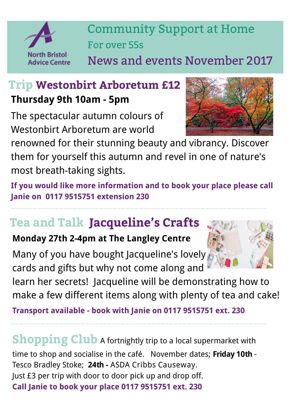

Community Support at Home For over 55s

News and events November 2017

### **Trip Westonbirt Arboretum £12 Thursday 9th 10am - 5pm**

The spectacular autumn colours of Westonbirt Arboretum are world

renowned for their stunning beauty and vibrancy. Discover them for yourself this autumn and revel in one of nature's most breath-taking sights.

**If you would like more information and to book your place please call Janie on 0117 9515751 extension 230** 

——————————————————————————————————————————————————————————

# **Tea and Talk Jacqueline's Crafts**

#### **Monday 27th 2-4pm at The Langley Centre**

Many of you have bought Jacqueline's lovely cards and gifts but why not come along and



learn her secrets! Jacqueline will be demonstrating how to make a few different items along with plenty of tea and cake!

**Transport available - book with Janie on 0117 9515751 ext. 230**

**Shopping Club** A fortnightly trip to a local supermarket with time to shop and socialise in the café. November dates; **Friday 10th** - Tesco Bradley Stoke; **24th -** ASDA Cribbs Causeway. Just £3 per trip with door to door pick up and drop off. **Call Janie to book your place 0117 9515751 ext. 230**

——————————————————————————————————————————————————————————